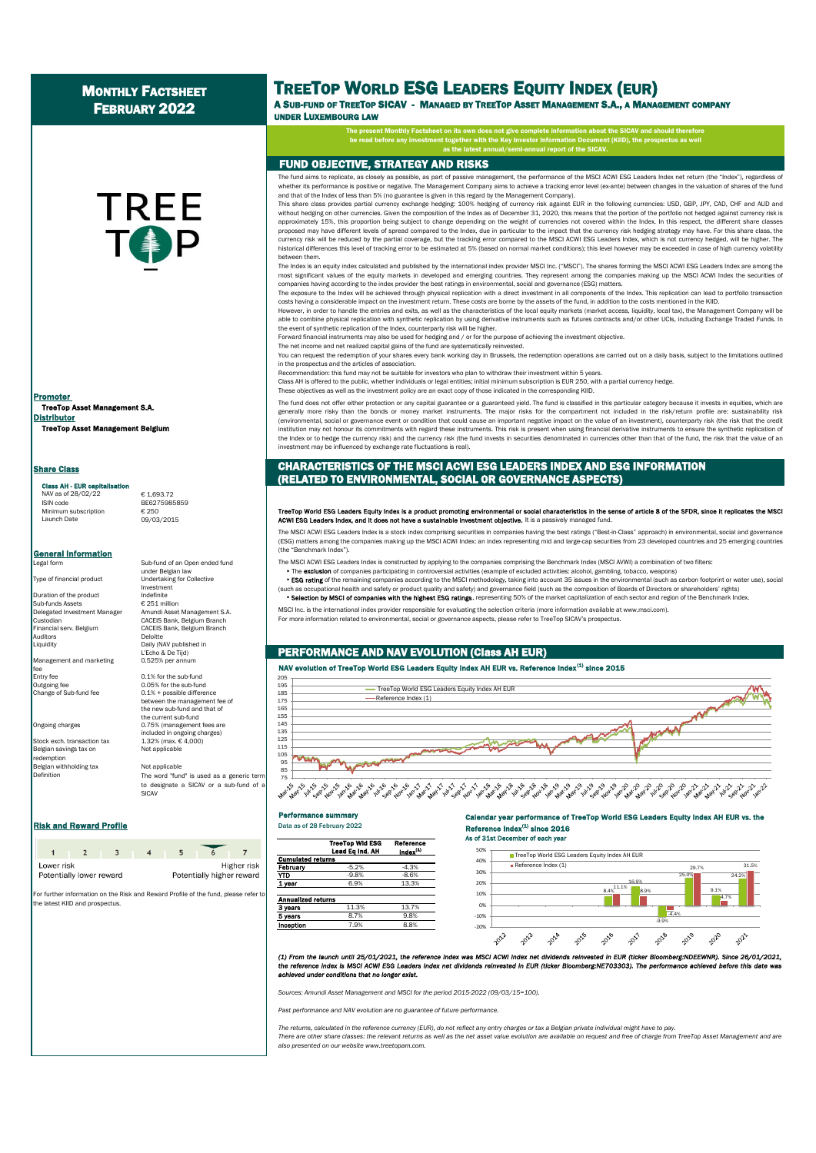# MONTHLY FACTSHEET FEBRUARY 2022

# **TREE**

TreeTop Asset Management S.A. Distributor TreeTop Asset Management Belgium Promoter

#### Share Class

#### Class AH - EUR capi

NAV as of 28/02/22 € 1,693.72<br>
ISIN code BE627598! Minimum subscription<br>Launch Date

General Information

Duration of the product<br>Sub-funds Assets € 251 million Sub-funds Assets<br>Delegated Investment Manager . . . . . . .<br>Auditors<br>Liquiditv

Management and marketing fee<br>Entry fee entry fee 0.1% for the sub-fund<br>Outgoing fee 0.05% for the sub-fund

Belgian savings tax on Not applicable redemption **Belgian withholding tax Not applicable** 

Definition

#### Legal form Sub-fund of an Open ended fund under Belgian law Type of financial product Undertaking for Collective Investment<br>Indefinite Delegated Investment Manager Amundi Asset Management S.A. Custodian CACEIS Bank, Belgium Branch CACEIS Bank, Belgium Branch Daily (NAV published in

**BE6275985859** 

Launch Date 09/03/2015

L'Echo & De Tijd)<br>0.525% per annu

Outgoing fee 0.05% for the sub-fund<br>Change of Sub-fund fee 0.1% + possible differe  $0.1%$  + possible difference between the management fee of the new sub-fund and that of the current sub-fund Ongoing charges 0.75% (management fees are included in ongoing charges) Stock exch. transaction tax 1.32% (max. € 4,000)

> The word "fund" is used as a generic term to designate a SICAV or a sub-fund of a SICAV

#### Risk and Reward Profile **Example 2022** Data as of 28 February 2022

| Lower risk | Potentially higher reward<br>Potentially lower reward |  |  | Higher risk |  |
|------------|-------------------------------------------------------|--|--|-------------|--|

For further information on the Risk and Reward Profile of the fund, please refer to the latest KIID and prospectus.

# TREETOP WORLD ESG LEADERS EQUITY INDEX (EUR)

A SUB-FUND OF TREETOP SICAV - MANAGED BY TREETOP ASSET MANAGEMENT S.A., A MANAGEMENT COMPANY UNDER LUXEMBOURG LAW

The present Monthly Factsheet on its own does not give complete information about the SICAV and should therefore

be read in the Key International The Brospectus Internation Internation Internation Document (KIID), the prosp as the latest annual/semi-annual report of the SICAV.

#### FUND OBJECTIVE, STRATEGY AND RISKS

The fund aims to replicate, as closely as possible, as part of passive management, the performance of the MSCI ACWI ESG Leaders Index net return (the "Index"), regardless of whether its performance is positive or negative. The Management Company aims to achieve a tracking error level (ex-ante) between changes in the valuation of shares of the fund and that of the Index of less than 5% (no guarantee is given in this regard by the Management Company).

This share class provides partial currency exchange hedging: 100% hedging of currency risk against EUR in the following currencies: USD, GBP, JPY, CAD, CHF and AUD and<br>without hedging on other currencies. Given the composi approximately 15%, this proportion being subject to change depending on the weight of currencies not covered within the Index. In this respect, the different share classes proposed may have different levels of spread compared to the Index, due in particular to the impact that the currency risk hedging strategy may have. For this share class, the<br>currency risk will be reduced by the partial c historical differences this level of tracking error to be estimated at 5% (based on normal market conditions); this level however may be exceeded in case of high currency volatility between them.

The Index is an equity index calculated and published by the international index provider MSCI Inc. ("MSCI"). The shares forming the MSCI ACWI ESG Leaders Index are among the most significant values of the equity markets in developed and emerging countries. They represent among the companies making up the MSCI ACWI Index the securities of companies having according to the index provider the best ratings in environmental, social and governance (ESG) matters.

The exposure to the Index will be achieved through physical replication with a direct investment in all components of the Index. This replication can lead to portfolio transaction costs having a considerable impact on the investment return. These costs are borne by the assets of the fund, in addition to the costs mentioned in the KIID.

However, in order to handle the entries and exits, as well as the characteristics of the local equity markets (market access, liquidity, local tax), the Management Company will be able to combine physical replication with synthetic replication by using derivative instruments such as futures contracts and/or other UCIs, including Exchange Traded Funds. In the event of synthetic replication of the Index, counterparty risk will be higher. Forward financial instruments may also be used for hedging and / or for the purpose of achieving the investment objective.

The net income and net realized capital gains of the fund are systematically reinvested.

You can request the redemption of your shares every bank working day in Brussels, the redemption operations are carried out on a daily basis, subject to the limitations outlined in the prospectus and the articles of association.

Recommendation: this fund may not be suitable for investors who plan to withdraw their investment within 5 years.

Class AH is offered to the public, whether individuals or legal entities; initial minimum subscription is EUR 250, with a partial currency hedge.

These objectives as well as the investment policy are an exact copy of those indicated in the corresponding KIID.

The fund does not offer either protection or any capital guarantee or a guaranteed yield. The fund is classified in this particular category because it invests in equities, which are generally more risky than the bonds or money market instruments. The major risks for the compartment not included in the risk/return profile are: sustainability risk (environmental, social or governance event or condition that could cause an important negative impact on the value of an investment), counterparty risk (the risk that the credit institution may not honour its commitments with regard these instruments. This risk is present when using financial derivative instruments to ensure the synthetic replication of the Index or to hedge the currency risk) and the currency risk (the fund invests in securities denominated in currencies other than that of the fund, the risk that the value of an investment may be influenced by exchange rate fluctuations is real).

#### CHARACTERISTICS OF THE MSCI ACWI ESG LEADERS INDEX AND ESG INFORMATION (RELATED TO ENVIRONMENTAL, SOCIAL OR GOVERNANCE ASPECTS)

# TreeTop World ESG Leaders Equity Index is a product promoting environmental or social characteristics in the sense of article 8 of the SFDR, since it replicates the MSC<br>ACWI ESG Leaders Index, and it does not have a sustai

The MSCI ACWI ESG Leaders Index is a stock index comprising securities in companies having the best ratings ("Best-in-Class" approach) in environmental, social and governance (ESG) matters among the companies making up the MSCI ACWI Index: an index representing mid and large-cap securities from 23 developed countries and 25 emerging countries (the "Benchmark Index").

The MSCI ACWI ESG Leaders Index is constructed by applying to the companies comprising the Benchmark Index (MSCI AVWI) a combination of two filters:

. The exclusion of companies participating in controversial activities (example of excluded activities: alcohol, gambling, tobacco, weapons) **ESG rating** of the remaining companies according to the MSCI methodology, taking into account 35 issues in the environmental (such as carbon footprint or water use), social

(such as occupational health and safety or product quality and safety) and governance field (such as the composition of Boards of Directors or shareholders' rights) . Selection by MSCI of companies with the highest ESG ratings, representing 50% of the market capitalization of each sector and region of the Benchmark Index.

MSCI Inc. is the international index provider responsible for evaluating the selection criteria (more information available at www.msci.com).

For more information related to environmental, social or governance aspects, please refer to TreeTop SICAV's prospectus.

### PERFORMANCE AND NAV EVOLUTION (Class AH EUR)

#### NAV evolution of TreeTop World ESG Leaders Equity Index AH EUR vs. Reference Index<sup>(1)</sup> since 2015



#### Performance summary

eTop Wid ESG Reference<br>ad Eg Ind. AH Lindex<sup>(1)</sup> Lead Eq Ind. AH **Cumulated return** February -5.2% -4.3<br>
YTD -9.8% -8.6 **YTD**  $-9.8\%$   $-8.6\%$ **1 year** 6.9% 13.3% ed re **3 years** 11.3% 13.7%<br>**5 years** 8.7% 9.8% 5 years **Inception** 7.9% 8.8%

Calendar year performance of TreeTop World ESG Leaders Equity Index AH EUR vs. the Reference Index<sup>(1)</sup> since 2016 As of 31st December of each year



(1) From the launch until 25/01/2021, the reference index was MSCI ACWI index net dividends reinvested in EUR (ticker Bioomberg:NDEEWNR). Since 26/01/2021 the reference index is MSCI ACWI ESG Leaders Index net dividends reinvested in EUR (ticker Bioomberg:NE703303). The performance achieved before this date was *achieved under conditions that no longer exist.*

*Sources: Amundi Asset Management and MSCI for the period 2015-2022 (09/03/15=100).*

*Past performance and NAV evolution are no guarantee of future performance.*

*The returns, calculated in the reference currency (EUR), do not reflect any entry charges or tax a Belgian private individual might have to pay.* There are other share classes: the relevant returns as well as the net asset value evolution are available on request and free of charge from TreeTop Asset Management and are *also presented on our website www.treetopam.com.*